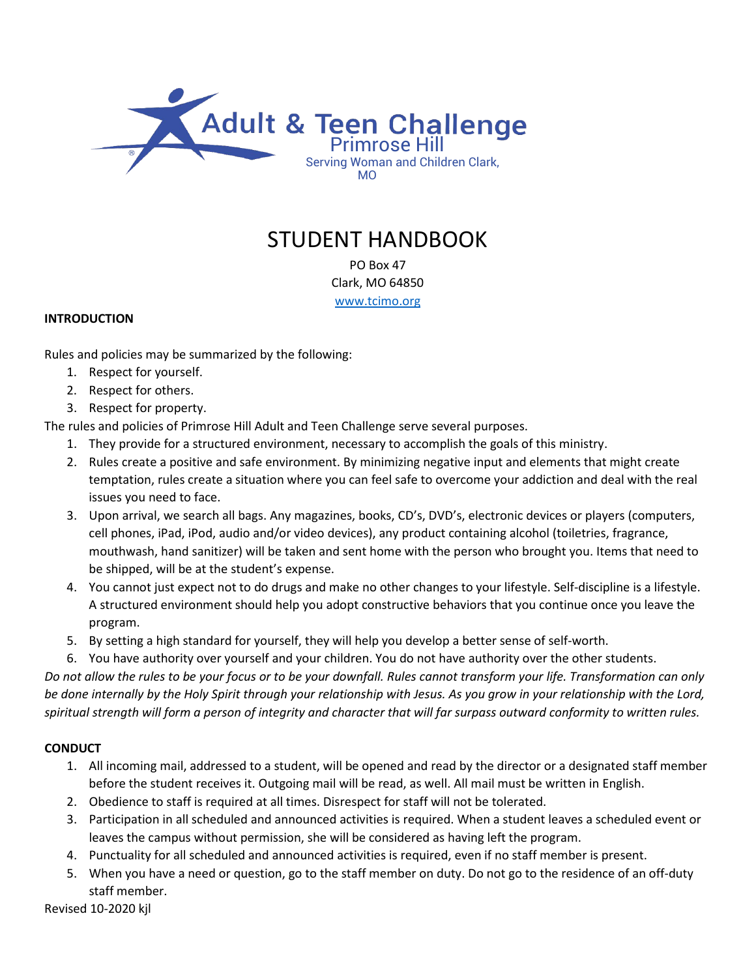

# STUDENT HANDBOOK

PO Box 47 Clark, MO 64850 [www.tcimo.org](http://www.tcimo.org/)

#### **INTRODUCTION**

Rules and policies may be summarized by the following:

- 1. Respect for yourself.
- 2. Respect for others.
- 3. Respect for property.

The rules and policies of Primrose Hill Adult and Teen Challenge serve several purposes.

- 1. They provide for a structured environment, necessary to accomplish the goals of this ministry.
- 2. Rules create a positive and safe environment. By minimizing negative input and elements that might create temptation, rules create a situation where you can feel safe to overcome your addiction and deal with the real issues you need to face.
- 3. Upon arrival, we search all bags. Any magazines, books, CD's, DVD's, electronic devices or players (computers, cell phones, iPad, iPod, audio and/or video devices), any product containing alcohol (toiletries, fragrance, mouthwash, hand sanitizer) will be taken and sent home with the person who brought you. Items that need to be shipped, will be at the student's expense.
- 4. You cannot just expect not to do drugs and make no other changes to your lifestyle. Self-discipline is a lifestyle. A structured environment should help you adopt constructive behaviors that you continue once you leave the program.
- 5. By setting a high standard for yourself, they will help you develop a better sense of self-worth.
- 6. You have authority over yourself and your children. You do not have authority over the other students.

*Do not allow the rules to be your focus or to be your downfall. Rules cannot transform your life. Transformation can only be done internally by the Holy Spirit through your relationship with Jesus. As you grow in your relationship with the Lord, spiritual strength will form a person of integrity and character that will far surpass outward conformity to written rules.*

# **CONDUCT**

- 1. All incoming mail, addressed to a student, will be opened and read by the director or a designated staff member before the student receives it. Outgoing mail will be read, as well. All mail must be written in English.
- 2. Obedience to staff is required at all times. Disrespect for staff will not be tolerated.
- 3. Participation in all scheduled and announced activities is required. When a student leaves a scheduled event or leaves the campus without permission, she will be considered as having left the program.
- 4. Punctuality for all scheduled and announced activities is required, even if no staff member is present.
- 5. When you have a need or question, go to the staff member on duty. Do not go to the residence of an off-duty staff member.

Revised 10-2020 kjl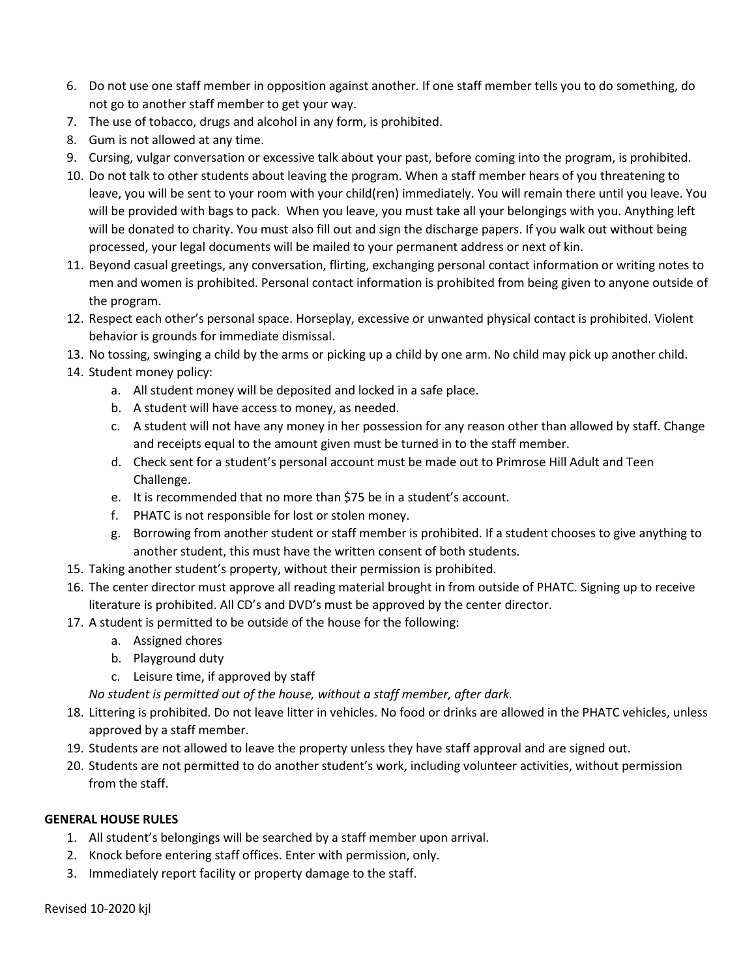- 6. Do not use one staff member in opposition against another. If one staff member tells you to do something, do not go to another staff member to get your way.
- 7. The use of tobacco, drugs and alcohol in any form, is prohibited.
- 8. Gum is not allowed at any time.
- 9. Cursing, vulgar conversation or excessive talk about your past, before coming into the program, is prohibited.
- 10. Do not talk to other students about leaving the program. When a staff member hears of you threatening to leave, you will be sent to your room with your child(ren) immediately. You will remain there until you leave. You will be provided with bags to pack. When you leave, you must take all your belongings with you. Anything left will be donated to charity. You must also fill out and sign the discharge papers. If you walk out without being processed, your legal documents will be mailed to your permanent address or next of kin.
- 11. Beyond casual greetings, any conversation, flirting, exchanging personal contact information or writing notes to men and women is prohibited. Personal contact information is prohibited from being given to anyone outside of the program.
- 12. Respect each other's personal space. Horseplay, excessive or unwanted physical contact is prohibited. Violent behavior is grounds for immediate dismissal.
- 13. No tossing, swinging a child by the arms or picking up a child by one arm. No child may pick up another child.
- 14. Student money policy:
	- a. All student money will be deposited and locked in a safe place.
	- b. A student will have access to money, as needed.
	- c. A student will not have any money in her possession for any reason other than allowed by staff. Change and receipts equal to the amount given must be turned in to the staff member.
	- d. Check sent for a student's personal account must be made out to Primrose Hill Adult and Teen Challenge.
	- e. It is recommended that no more than \$75 be in a student's account.
	- f. PHATC is not responsible for lost or stolen money.
	- g. Borrowing from another student or staff member is prohibited. If a student chooses to give anything to another student, this must have the written consent of both students.
- 15. Taking another student's property, without their permission is prohibited.
- 16. The center director must approve all reading material brought in from outside of PHATC. Signing up to receive literature is prohibited. All CD's and DVD's must be approved by the center director.
- 17. A student is permitted to be outside of the house for the following:
	- a. Assigned chores
	- b. Playground duty
	- c. Leisure time, if approved by staff

*No student is permitted out of the house, without a staff member, after dark.*

- 18. Littering is prohibited. Do not leave litter in vehicles. No food or drinks are allowed in the PHATC vehicles, unless approved by a staff member.
- 19. Students are not allowed to leave the property unless they have staff approval and are signed out.
- 20. Students are not permitted to do another student's work, including volunteer activities, without permission from the staff.

# **GENERAL HOUSE RULES**

- 1. All student's belongings will be searched by a staff member upon arrival.
- 2. Knock before entering staff offices. Enter with permission, only.
- 3. Immediately report facility or property damage to the staff.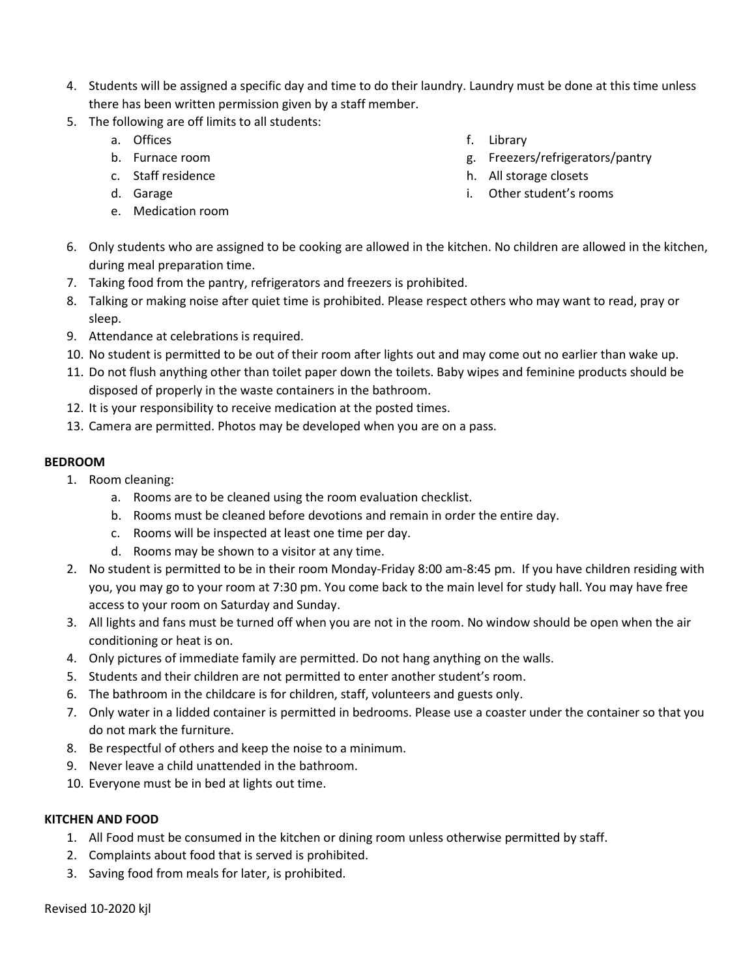- 4. Students will be assigned a specific day and time to do their laundry. Laundry must be done at this time unless there has been written permission given by a staff member.
- 5. The following are off limits to all students:
	- a. Offices
	- b. Furnace room
	- c. Staff residence
	- d. Garage
	- e. Medication room
- f. Library
- g. Freezers/refrigerators/pantry
- h. All storage closets
- i. Other student's rooms
- 6. Only students who are assigned to be cooking are allowed in the kitchen. No children are allowed in the kitchen, during meal preparation time.
- 7. Taking food from the pantry, refrigerators and freezers is prohibited.
- 8. Talking or making noise after quiet time is prohibited. Please respect others who may want to read, pray or sleep.
- 9. Attendance at celebrations is required.
- 10. No student is permitted to be out of their room after lights out and may come out no earlier than wake up.
- 11. Do not flush anything other than toilet paper down the toilets. Baby wipes and feminine products should be disposed of properly in the waste containers in the bathroom.
- 12. It is your responsibility to receive medication at the posted times.
- 13. Camera are permitted. Photos may be developed when you are on a pass.

# **BEDROOM**

- 1. Room cleaning:
	- a. Rooms are to be cleaned using the room evaluation checklist.
	- b. Rooms must be cleaned before devotions and remain in order the entire day.
	- c. Rooms will be inspected at least one time per day.
	- d. Rooms may be shown to a visitor at any time.
- 2. No student is permitted to be in their room Monday-Friday 8:00 am-8:45 pm. If you have children residing with you, you may go to your room at 7:30 pm. You come back to the main level for study hall. You may have free access to your room on Saturday and Sunday.
- 3. All lights and fans must be turned off when you are not in the room. No window should be open when the air conditioning or heat is on.
- 4. Only pictures of immediate family are permitted. Do not hang anything on the walls.
- 5. Students and their children are not permitted to enter another student's room.
- 6. The bathroom in the childcare is for children, staff, volunteers and guests only.
- 7. Only water in a lidded container is permitted in bedrooms. Please use a coaster under the container so that you do not mark the furniture.
- 8. Be respectful of others and keep the noise to a minimum.
- 9. Never leave a child unattended in the bathroom.
- 10. Everyone must be in bed at lights out time.

#### **KITCHEN AND FOOD**

- 1. All Food must be consumed in the kitchen or dining room unless otherwise permitted by staff.
- 2. Complaints about food that is served is prohibited.
- 3. Saving food from meals for later, is prohibited.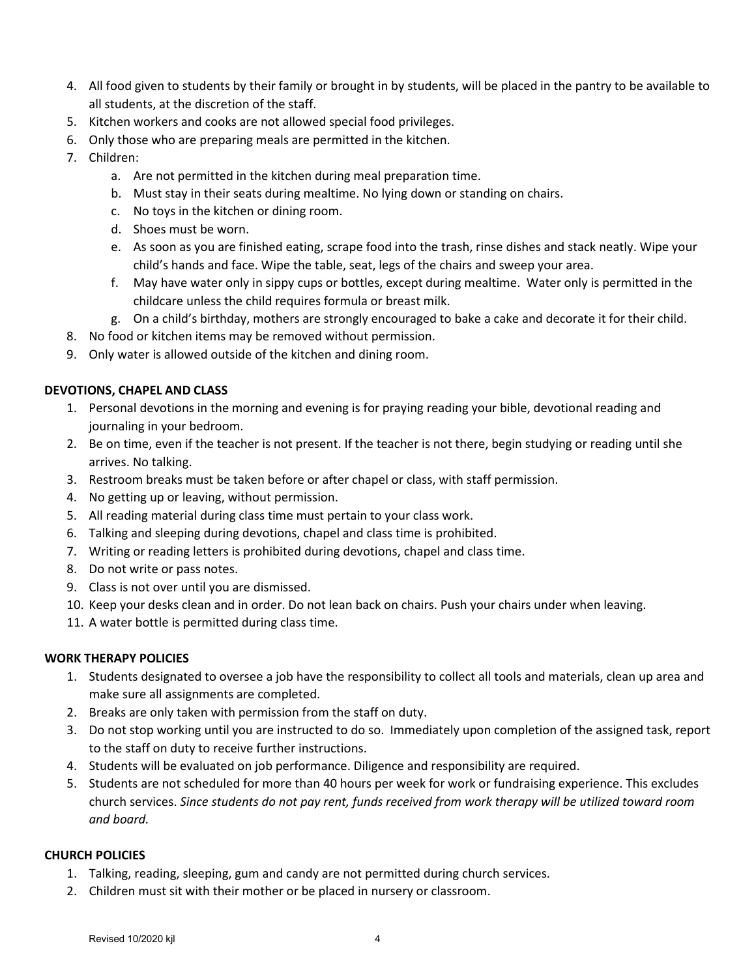- 4. All food given to students by their family or brought in by students, will be placed in the pantry to be available to all students, at the discretion of the staff.
- 5. Kitchen workers and cooks are not allowed special food privileges.
- 6. Only those who are preparing meals are permitted in the kitchen.
- 7. Children:
	- a. Are not permitted in the kitchen during meal preparation time.
	- b. Must stay in their seats during mealtime. No lying down or standing on chairs.
	- c. No toys in the kitchen or dining room.
	- d. Shoes must be worn.
	- e. As soon as you are finished eating, scrape food into the trash, rinse dishes and stack neatly. Wipe your child's hands and face. Wipe the table, seat, legs of the chairs and sweep your area.
	- f. May have water only in sippy cups or bottles, except during mealtime. Water only is permitted in the childcare unless the child requires formula or breast milk.
	- g. On a child's birthday, mothers are strongly encouraged to bake a cake and decorate it for their child.
- 8. No food or kitchen items may be removed without permission.
- 9. Only water is allowed outside of the kitchen and dining room.

#### **DEVOTIONS, CHAPEL AND CLASS**

- 1. Personal devotions in the morning and evening is for praying reading your bible, devotional reading and journaling in your bedroom.
- 2. Be on time, even if the teacher is not present. If the teacher is not there, begin studying or reading until she arrives. No talking.
- 3. Restroom breaks must be taken before or after chapel or class, with staff permission.
- 4. No getting up or leaving, without permission.
- 5. All reading material during class time must pertain to your class work.
- 6. Talking and sleeping during devotions, chapel and class time is prohibited.
- 7. Writing or reading letters is prohibited during devotions, chapel and class time.
- 8. Do not write or pass notes.
- 9. Class is not over until you are dismissed.
- 10. Keep your desks clean and in order. Do not lean back on chairs. Push your chairs under when leaving.
- 11. A water bottle is permitted during class time.

#### **WORK THERAPY POLICIES**

- 1. Students designated to oversee a job have the responsibility to collect all tools and materials, clean up area and make sure all assignments are completed.
- 2. Breaks are only taken with permission from the staff on duty.
- 3. Do not stop working until you are instructed to do so. Immediately upon completion of the assigned task, report to the staff on duty to receive further instructions.
- 4. Students will be evaluated on job performance. Diligence and responsibility are required.
- 5. Students are not scheduled for more than 40 hours per week for work or fundraising experience. This excludes church services. *Since students do not pay rent, funds received from work therapy will be utilized toward room and board.*

# **CHURCH POLICIES**

- 1. Talking, reading, sleeping, gum and candy are not permitted during church services.
- 2. Children must sit with their mother or be placed in nursery or classroom.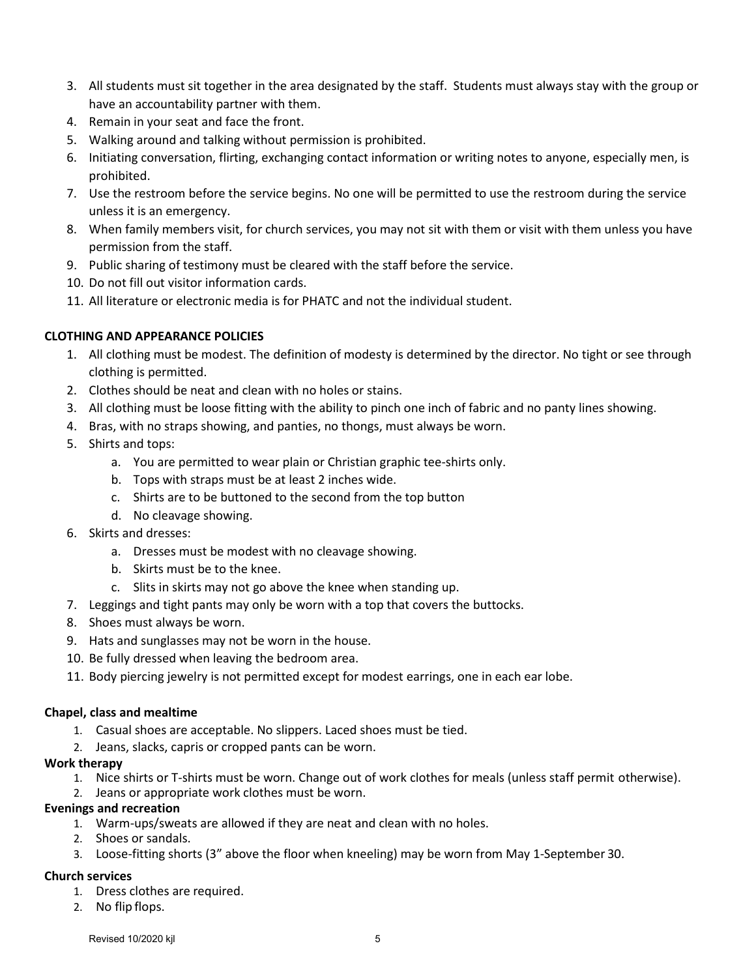- 3. All students must sit together in the area designated by the staff. Students must always stay with the group or have an accountability partner with them.
- 4. Remain in your seat and face the front.
- 5. Walking around and talking without permission is prohibited.
- 6. Initiating conversation, flirting, exchanging contact information or writing notes to anyone, especially men, is prohibited.
- 7. Use the restroom before the service begins. No one will be permitted to use the restroom during the service unless it is an emergency.
- 8. When family members visit, for church services, you may not sit with them or visit with them unless you have permission from the staff.
- 9. Public sharing of testimony must be cleared with the staff before the service.
- 10. Do not fill out visitor information cards.
- 11. All literature or electronic media is for PHATC and not the individual student.

#### **CLOTHING AND APPEARANCE POLICIES**

- 1. All clothing must be modest. The definition of modesty is determined by the director. No tight or see through clothing is permitted.
- 2. Clothes should be neat and clean with no holes or stains.
- 3. All clothing must be loose fitting with the ability to pinch one inch of fabric and no panty lines showing.
- 4. Bras, with no straps showing, and panties, no thongs, must always be worn.
- 5. Shirts and tops:
	- a. You are permitted to wear plain or Christian graphic tee-shirts only.
	- b. Tops with straps must be at least 2 inches wide.
	- c. Shirts are to be buttoned to the second from the top button
	- d. No cleavage showing.
- 6. Skirts and dresses:
	- a. Dresses must be modest with no cleavage showing.
	- b. Skirts must be to the knee.
	- c. Slits in skirts may not go above the knee when standing up.
- 7. Leggings and tight pants may only be worn with a top that covers the buttocks.
- 8. Shoes must always be worn.
- 9. Hats and sunglasses may not be worn in the house.
- 10. Be fully dressed when leaving the bedroom area.
- 11. Body piercing jewelry is not permitted except for modest earrings, one in each ear lobe.

#### **Chapel, class and mealtime**

- 1. Casual shoes are acceptable. No slippers. Laced shoes must be tied.
- 2. Jeans, slacks, capris or cropped pants can be worn.

#### **Work therapy**

- 1. Nice shirts or T-shirts must be worn. Change out of work clothes for meals (unless staff permit otherwise).
- 2. Jeans or appropriate work clothes must be worn.

#### **Evenings and recreation**

- 1. Warm-ups/sweats are allowed if they are neat and clean with no holes.
- 2. Shoes or sandals.
- 3. Loose-fitting shorts (3" above the floor when kneeling) may be worn from May 1-September 30.

#### **Church services**

- 1. Dress clothes are required.
- 2. No flip flops.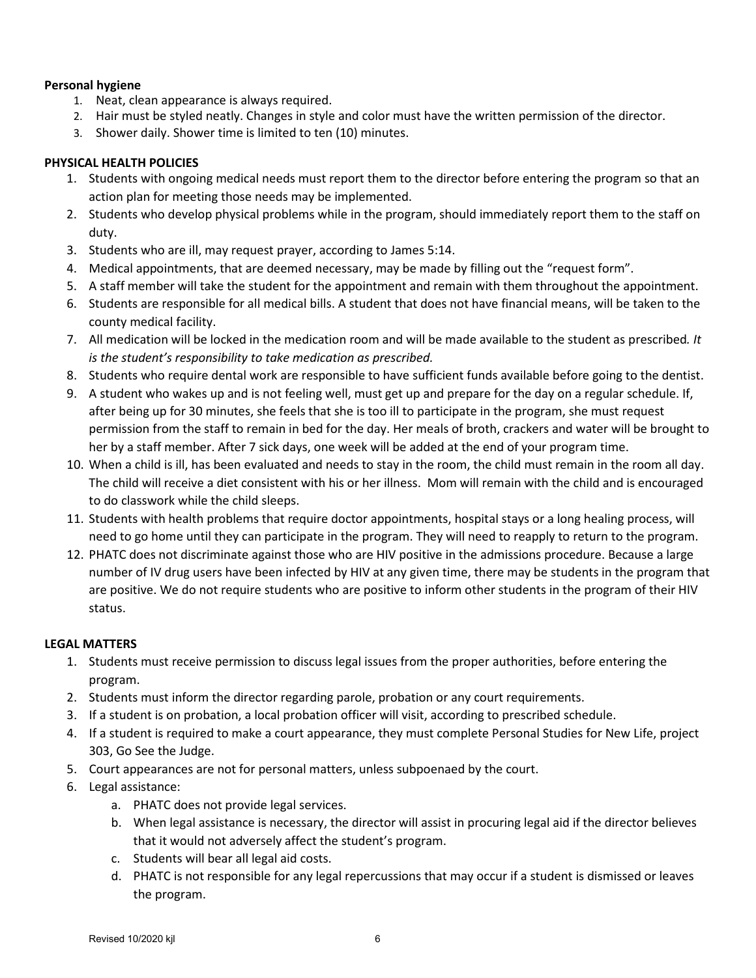# **Personal hygiene**

- 1. Neat, clean appearance is always required.
- 2. Hair must be styled neatly. Changes in style and color must have the written permission of the director.
- 3. Shower daily. Shower time is limited to ten (10) minutes.

# **PHYSICAL HEALTH POLICIES**

- 1. Students with ongoing medical needs must report them to the director before entering the program so that an action plan for meeting those needs may be implemented.
- 2. Students who develop physical problems while in the program, should immediately report them to the staff on duty.
- 3. Students who are ill, may request prayer, according to James 5:14.
- 4. Medical appointments, that are deemed necessary, may be made by filling out the "request form".
- 5. A staff member will take the student for the appointment and remain with them throughout the appointment.
- 6. Students are responsible for all medical bills. A student that does not have financial means, will be taken to the county medical facility.
- 7. All medication will be locked in the medication room and will be made available to the student as prescribed*. It is the student's responsibility to take medication as prescribed.*
- 8. Students who require dental work are responsible to have sufficient funds available before going to the dentist.
- 9. A student who wakes up and is not feeling well, must get up and prepare for the day on a regular schedule. If, after being up for 30 minutes, she feels that she is too ill to participate in the program, she must request permission from the staff to remain in bed for the day. Her meals of broth, crackers and water will be brought to her by a staff member. After 7 sick days, one week will be added at the end of your program time.
- 10. When a child is ill, has been evaluated and needs to stay in the room, the child must remain in the room all day. The child will receive a diet consistent with his or her illness. Mom will remain with the child and is encouraged to do classwork while the child sleeps.
- 11. Students with health problems that require doctor appointments, hospital stays or a long healing process, will need to go home until they can participate in the program. They will need to reapply to return to the program.
- 12. PHATC does not discriminate against those who are HIV positive in the admissions procedure. Because a large number of IV drug users have been infected by HIV at any given time, there may be students in the program that are positive. We do not require students who are positive to inform other students in the program of their HIV status.

#### **LEGAL MATTERS**

- 1. Students must receive permission to discuss legal issues from the proper authorities, before entering the program.
- 2. Students must inform the director regarding parole, probation or any court requirements.
- 3. If a student is on probation, a local probation officer will visit, according to prescribed schedule.
- 4. If a student is required to make a court appearance, they must complete Personal Studies for New Life, project 303, Go See the Judge.
- 5. Court appearances are not for personal matters, unless subpoenaed by the court.
- 6. Legal assistance:
	- a. PHATC does not provide legal services.
	- b. When legal assistance is necessary, the director will assist in procuring legal aid if the director believes that it would not adversely affect the student's program.
	- c. Students will bear all legal aid costs.
	- d. PHATC is not responsible for any legal repercussions that may occur if a student is dismissed or leaves the program.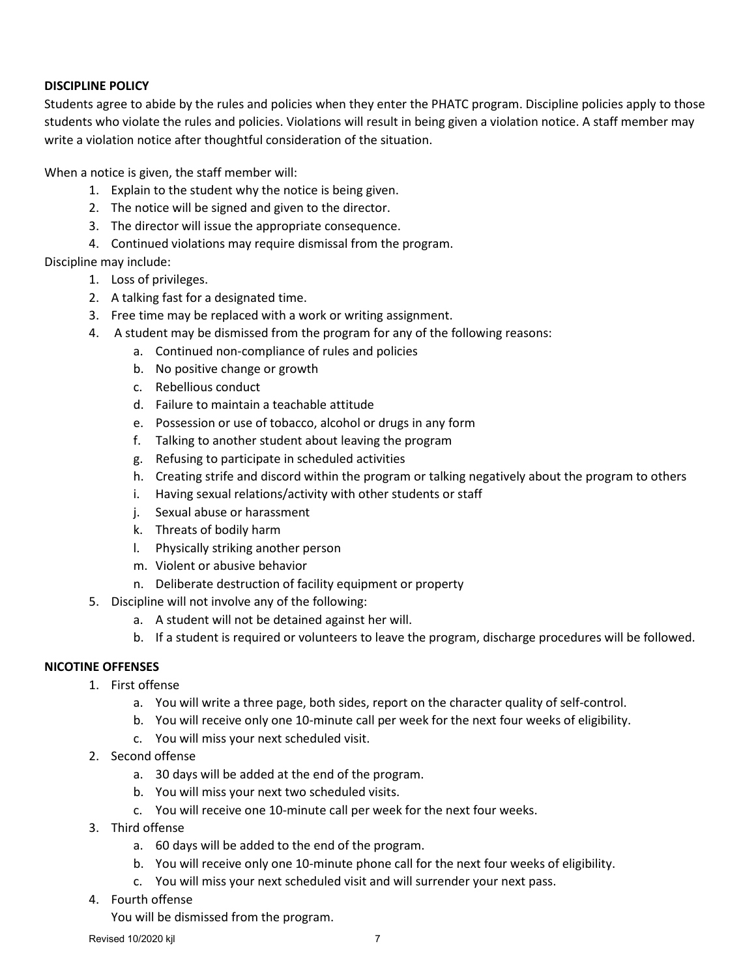#### **DISCIPLINE POLICY**

Students agree to abide by the rules and policies when they enter the PHATC program. Discipline policies apply to those students who violate the rules and policies. Violations will result in being given a violation notice. A staff member may write a violation notice after thoughtful consideration of the situation.

When a notice is given, the staff member will:

- 1. Explain to the student why the notice is being given.
- 2. The notice will be signed and given to the director.
- 3. The director will issue the appropriate consequence.
- 4. Continued violations may require dismissal from the program.
- Discipline may include:
	- 1. Loss of privileges.
	- 2. A talking fast for a designated time.
	- 3. Free time may be replaced with a work or writing assignment.
	- 4. A student may be dismissed from the program for any of the following reasons:
		- a. Continued non-compliance of rules and policies
		- b. No positive change or growth
		- c. Rebellious conduct
		- d. Failure to maintain a teachable attitude
		- e. Possession or use of tobacco, alcohol or drugs in any form
		- f. Talking to another student about leaving the program
		- g. Refusing to participate in scheduled activities
		- h. Creating strife and discord within the program or talking negatively about the program to others
		- i. Having sexual relations/activity with other students or staff
		- j. Sexual abuse or harassment
		- k. Threats of bodily harm
		- l. Physically striking another person
		- m. Violent or abusive behavior
		- n. Deliberate destruction of facility equipment or property
	- 5. Discipline will not involve any of the following:
		- a. A student will not be detained against her will.
		- b. If a student is required or volunteers to leave the program, discharge procedures will be followed.

#### **NICOTINE OFFENSES**

- 1. First offense
	- a. You will write a three page, both sides, report on the character quality of self-control.
	- b. You will receive only one 10-minute call per week for the next four weeks of eligibility.
	- c. You will miss your next scheduled visit.
- 2. Second offense
	- a. 30 days will be added at the end of the program.
	- b. You will miss your next two scheduled visits.
	- c. You will receive one 10-minute call per week for the next four weeks.
- 3. Third offense
	- a. 60 days will be added to the end of the program.
	- b. You will receive only one 10-minute phone call for the next four weeks of eligibility.
	- c. You will miss your next scheduled visit and will surrender your next pass.
- 4. Fourth offense

You will be dismissed from the program.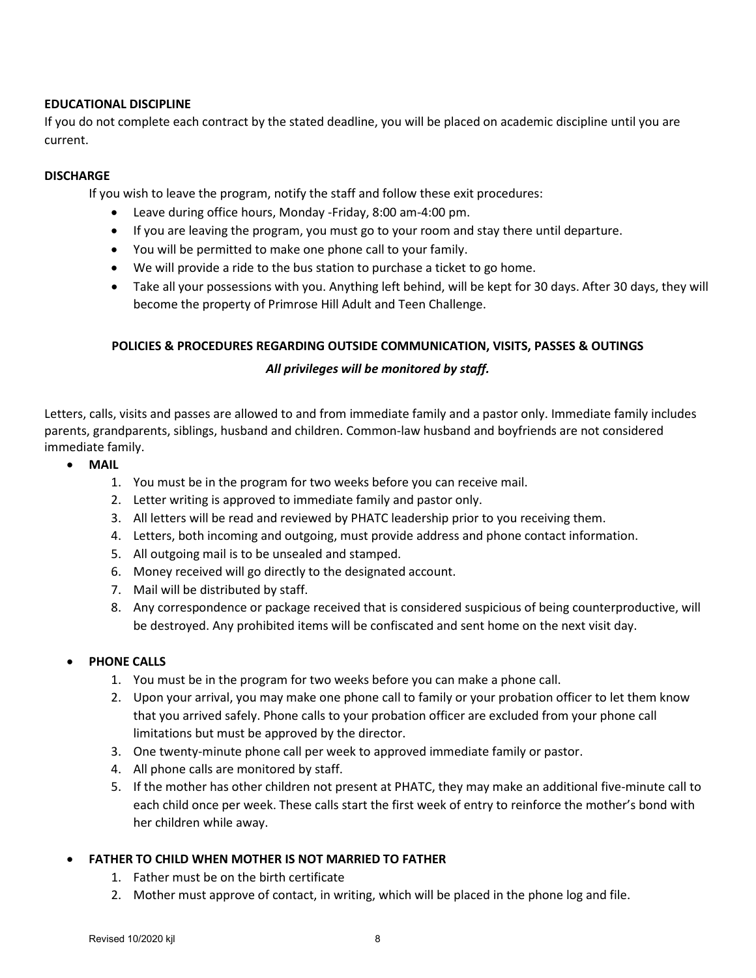# **EDUCATIONAL DISCIPLINE**

If you do not complete each contract by the stated deadline, you will be placed on academic discipline until you are current.

# **DISCHARGE**

If you wish to leave the program, notify the staff and follow these exit procedures:

- Leave during office hours, Monday -Friday, 8:00 am-4:00 pm.
- If you are leaving the program, you must go to your room and stay there until departure.
- You will be permitted to make one phone call to your family.
- We will provide a ride to the bus station to purchase a ticket to go home.
- Take all your possessions with you. Anything left behind, will be kept for 30 days. After 30 days, they will become the property of Primrose Hill Adult and Teen Challenge.

# **POLICIES & PROCEDURES REGARDING OUTSIDE COMMUNICATION, VISITS, PASSES & OUTINGS** *All privileges will be monitored by staff.*

Letters, calls, visits and passes are allowed to and from immediate family and a pastor only. Immediate family includes parents, grandparents, siblings, husband and children. Common-law husband and boyfriends are not considered immediate family.

- **MAIL**
	- 1. You must be in the program for two weeks before you can receive mail.
	- 2. Letter writing is approved to immediate family and pastor only.
	- 3. All letters will be read and reviewed by PHATC leadership prior to you receiving them.
	- 4. Letters, both incoming and outgoing, must provide address and phone contact information.
	- 5. All outgoing mail is to be unsealed and stamped.
	- 6. Money received will go directly to the designated account.
	- 7. Mail will be distributed by staff.
	- 8. Any correspondence or package received that is considered suspicious of being counterproductive, will be destroyed. Any prohibited items will be confiscated and sent home on the next visit day.

#### **PHONE CALLS**

- 1. You must be in the program for two weeks before you can make a phone call.
- 2. Upon your arrival, you may make one phone call to family or your probation officer to let them know that you arrived safely. Phone calls to your probation officer are excluded from your phone call limitations but must be approved by the director.
- 3. One twenty-minute phone call per week to approved immediate family or pastor.
- 4. All phone calls are monitored by staff.
- 5. If the mother has other children not present at PHATC, they may make an additional five-minute call to each child once per week. These calls start the first week of entry to reinforce the mother's bond with her children while away.

# • **FATHER TO CHILD WHEN MOTHER IS NOT MARRIED TO FATHER**

- 1. Father must be on the birth certificate
- 2. Mother must approve of contact, in writing, which will be placed in the phone log and file.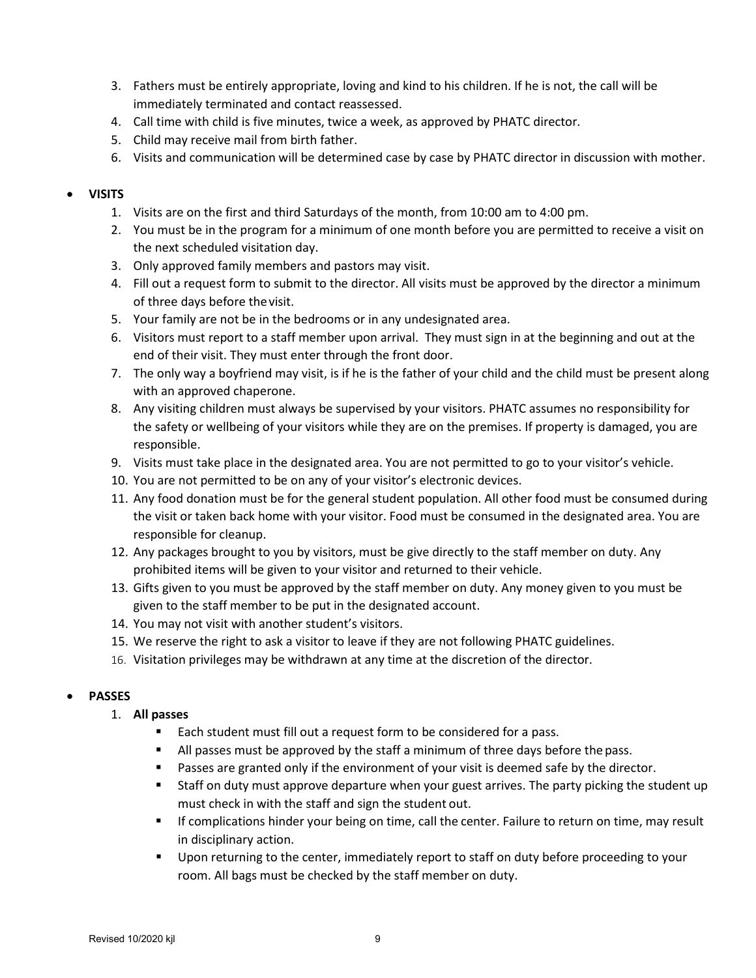- 3. Fathers must be entirely appropriate, loving and kind to his children. If he is not, the call will be immediately terminated and contact reassessed.
- 4. Call time with child is five minutes, twice a week, as approved by PHATC director.
- 5. Child may receive mail from birth father.
- 6. Visits and communication will be determined case by case by PHATC director in discussion with mother.

#### • **VISITS**

- 1. Visits are on the first and third Saturdays of the month, from 10:00 am to 4:00 pm.
- 2. You must be in the program for a minimum of one month before you are permitted to receive a visit on the next scheduled visitation day.
- 3. Only approved family members and pastors may visit.
- 4. Fill out a request form to submit to the director. All visits must be approved by the director a minimum of three days before thevisit.
- 5. Your family are not be in the bedrooms or in any undesignated area.
- 6. Visitors must report to a staff member upon arrival. They must sign in at the beginning and out at the end of their visit. They must enter through the front door.
- 7. The only way a boyfriend may visit, is if he is the father of your child and the child must be present along with an approved chaperone.
- 8. Any visiting children must always be supervised by your visitors. PHATC assumes no responsibility for the safety or wellbeing of your visitors while they are on the premises. If property is damaged, you are responsible.
- 9. Visits must take place in the designated area. You are not permitted to go to your visitor's vehicle.
- 10. You are not permitted to be on any of your visitor's electronic devices.
- 11. Any food donation must be for the general student population. All other food must be consumed during the visit or taken back home with your visitor. Food must be consumed in the designated area. You are responsible for cleanup.
- 12. Any packages brought to you by visitors, must be give directly to the staff member on duty. Any prohibited items will be given to your visitor and returned to their vehicle.
- 13. Gifts given to you must be approved by the staff member on duty. Any money given to you must be given to the staff member to be put in the designated account.
- 14. You may not visit with another student's visitors.
- 15. We reserve the right to ask a visitor to leave if they are not following PHATC guidelines.
- 16. Visitation privileges may be withdrawn at any time at the discretion of the director.

#### • **PASSES**

#### 1. **All passes**

- Each student must fill out a request form to be considered for a pass.
- If All passes must be approved by the staff a minimum of three days before the pass.
- **Passes are granted only if the environment of your visit is deemed safe by the director.**
- Staff on duty must approve departure when your guest arrives. The party picking the student up must check in with the staff and sign the student out.
- **If complications hinder your being on time, call the center. Failure to return on time, may result** in disciplinary action.
- Upon returning to the center, immediately report to staff on duty before proceeding to your room. All bags must be checked by the staff member on duty.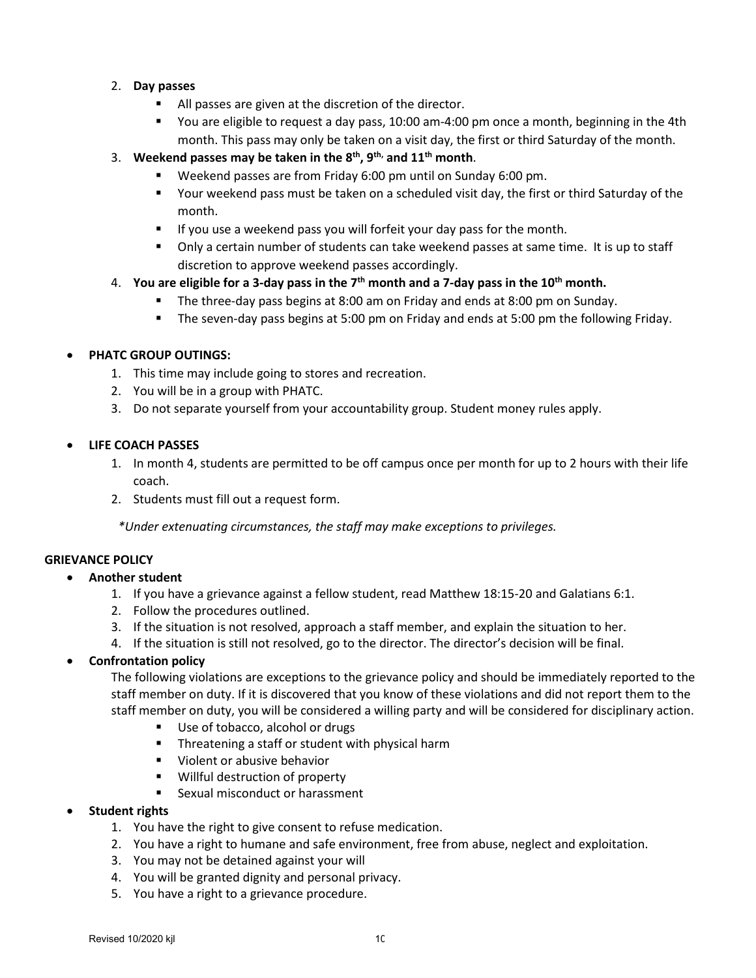#### 2. **Day passes**

- All passes are given at the discretion of the director.
- You are eligible to request a day pass, 10:00 am-4:00 pm once a month, beginning in the 4th month. This pass may only be taken on a visit day, the first or third Saturday of the month.
- 3. **Weekend passes may be taken in the 8th, 9th, and 11th month**.
	- Weekend passes are from Friday 6:00 pm until on Sunday 6:00 pm.
	- Your weekend pass must be taken on a scheduled visit day, the first or third Saturday of the month.
	- **If you use a weekend pass you will forfeit your day pass for the month.**
	- Only a certain number of students can take weekend passes at same time. It is up to staff discretion to approve weekend passes accordingly.
- 4. **You are eligible for a 3-day pass in the 7th month and a 7-day pass in the 10th month.**
	- The three-day pass begins at 8:00 am on Friday and ends at 8:00 pm on Sunday.
	- The seven-day pass begins at 5:00 pm on Friday and ends at 5:00 pm the following Friday.

# • **PHATC GROUP OUTINGS:**

- 1. This time may include going to stores and recreation.
- 2. You will be in a group with PHATC.
- 3. Do not separate yourself from your accountability group. Student money rules apply.
- **LIFE COACH PASSES**
	- 1. In month 4, students are permitted to be off campus once per month for up to 2 hours with their life coach.
	- 2. Students must fill out a request form.

*\*Under extenuating circumstances, the staff may make exceptions to privileges.*

# **GRIEVANCE POLICY**

#### • **Another student**

- 1. If you have a grievance against a fellow student, read Matthew 18:15-20 and Galatians 6:1.
- 2. Follow the procedures outlined.
- 3. If the situation is not resolved, approach a staff member, and explain the situation to her.
- 4. If the situation is still not resolved, go to the director. The director's decision will be final.

#### • **Confrontation policy**

The following violations are exceptions to the grievance policy and should be immediately reported to the staff member on duty. If it is discovered that you know of these violations and did not report them to the staff member on duty, you will be considered a willing party and will be considered for disciplinary action.

- Use of tobacco, alcohol or drugs
- **Threatening a staff or student with physical harm**
- **Violent or abusive behavior**
- **Willful destruction of property**
- **Sexual misconduct or harassment**

#### • **Student rights**

- 1. You have the right to give consent to refuse medication.
- 2. You have a right to humane and safe environment, free from abuse, neglect and exploitation.
- 3. You may not be detained against your will
- 4. You will be granted dignity and personal privacy.
- 5. You have a right to a grievance procedure.